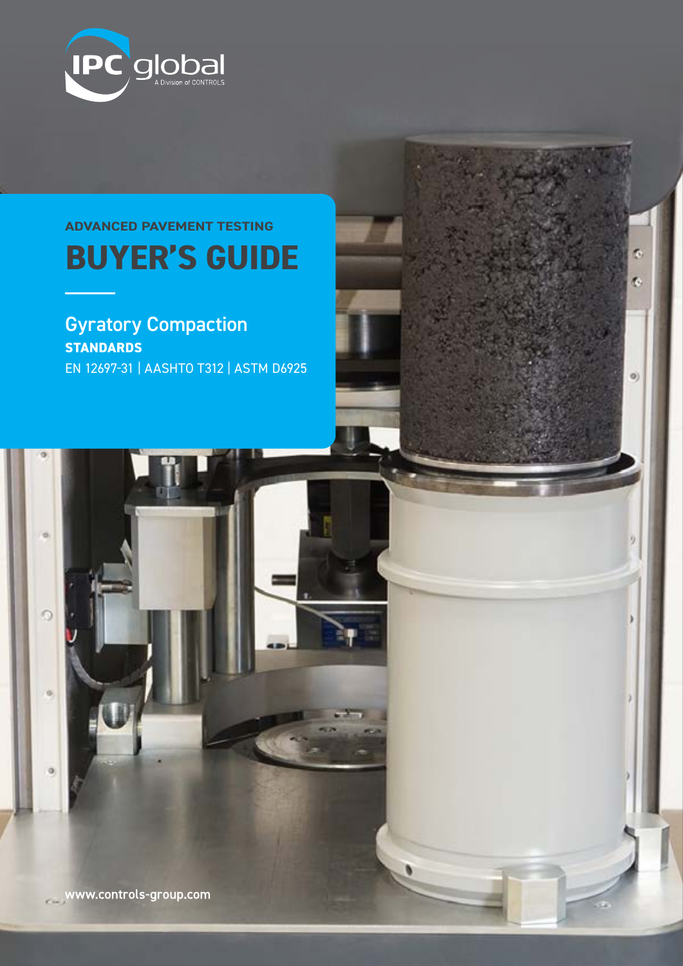

# **BUYER'S GUIDE ADVANCED PAVEMENT TESTING**

Ğ,

¢.

 $\Theta$ 

Gyratory Compaction **STANDARDS** EN 12697-31 | AASHTO T312 | ASTM D6925

www.controls-group.com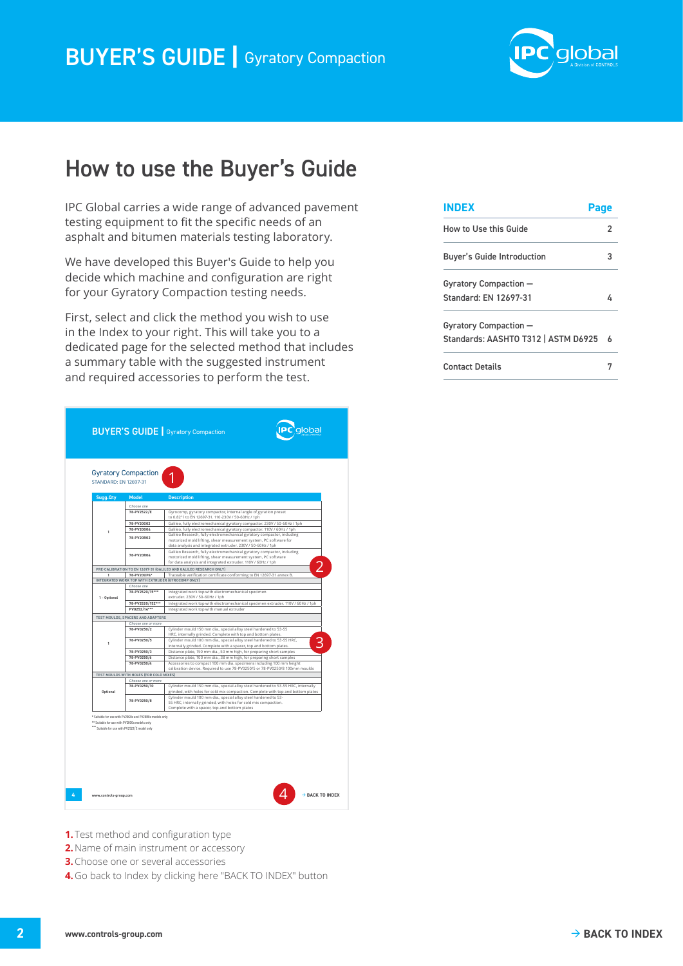

## <span id="page-1-0"></span>How to use the Buyer's Guide

IPC Global carries a wide range of advanced pavement testing equipment to fit the specific needs of an asphalt and bitumen materials testing laboratory.

We have developed this Buyer's Guide to help you decide which machine and configuration are right for your Gyratory Compaction testing needs.

First, select and click the method you wish to use in the Index to your right. This will take you to a dedicated page for the selected method that includes a summary table with the suggested instrument and required accessories to perform the test.

| Sugg. Qty<br><b>Model</b><br><b>Description</b><br>Choose one<br>78-PV2522/E<br>Gyrocomp, gyratory compactor, internal angle of gyration preset<br>to 0.82° I to EN 12697-31. 110-230V / 50-60Hz / 1ph<br>Galileo, fully electromechanical gyratory compactor. 230V / 50-60Hz / 1ph<br>78-PV20G02<br>78-PV20G04<br>Galileo, fully electromechanical gyratory compactor. 110V / 60Hz / 1ph<br>Galileo Research, fully electromechanical gyratory compactor, including<br>78-PV20R02<br>motorized mold lifting, shear measurement system, PC software for<br>data analysis and integrated extruder. 230V / 50-60Hz / 1ph |  |
|------------------------------------------------------------------------------------------------------------------------------------------------------------------------------------------------------------------------------------------------------------------------------------------------------------------------------------------------------------------------------------------------------------------------------------------------------------------------------------------------------------------------------------------------------------------------------------------------------------------------|--|
|                                                                                                                                                                                                                                                                                                                                                                                                                                                                                                                                                                                                                        |  |
|                                                                                                                                                                                                                                                                                                                                                                                                                                                                                                                                                                                                                        |  |
|                                                                                                                                                                                                                                                                                                                                                                                                                                                                                                                                                                                                                        |  |
|                                                                                                                                                                                                                                                                                                                                                                                                                                                                                                                                                                                                                        |  |
|                                                                                                                                                                                                                                                                                                                                                                                                                                                                                                                                                                                                                        |  |
| Galileo Research, fully electromechanical gyratory compactor, including<br>78-PV20R04<br>motorized mold lifting, shear measurement system, PC software<br>for data analysis and integrated extruder. 110V / 60Hz / 1ph                                                                                                                                                                                                                                                                                                                                                                                                 |  |
| PRE-CALIBRATION TO EN 12697-31 (GALILEO AND GALILEO RESEARCH ONLY)                                                                                                                                                                                                                                                                                                                                                                                                                                                                                                                                                     |  |
| 78-PV20UP4*<br>Traceable verification certificate conforming to EN 12697-31 annex B.                                                                                                                                                                                                                                                                                                                                                                                                                                                                                                                                   |  |
| INTEGRATED WORK TOP WITH EXTRUDER (GYROCOMP ONLY)                                                                                                                                                                                                                                                                                                                                                                                                                                                                                                                                                                      |  |
| Choose one                                                                                                                                                                                                                                                                                                                                                                                                                                                                                                                                                                                                             |  |
| 78-PV2520/15***<br>Integrated work top with electromechanical specimen<br>extruder. 230V / 50-60Hz / 1ph<br>1 - Optional                                                                                                                                                                                                                                                                                                                                                                                                                                                                                               |  |
| 78-PV2520/15Z***<br>Integrated work top with electromechanical specimen extruder. 110V / 60Hz / 1ph<br>PV0252/14***                                                                                                                                                                                                                                                                                                                                                                                                                                                                                                    |  |
| Integrated work top with manual extruder                                                                                                                                                                                                                                                                                                                                                                                                                                                                                                                                                                               |  |
| TEST MOULDS, SPACERS AND ADAPTERS<br>Choose one or more                                                                                                                                                                                                                                                                                                                                                                                                                                                                                                                                                                |  |
| 78-PV0250/2<br>Cylinder mould 150 mm dia., special alloy steel hardened to 53-55<br>HRC, internally grinded. Complete with top and bottom plates.                                                                                                                                                                                                                                                                                                                                                                                                                                                                      |  |
| 78-PV0250/5<br>Cylinder mould 100 mm dia., special alloy steel hardened to 53-55 HRC,<br>1<br>internally grinded. Complete with a spacer, top and bottom plates.                                                                                                                                                                                                                                                                                                                                                                                                                                                       |  |
| Distance plate, 150 mm dia., 50 mm high, for preparing short samples<br>78-PV0250/3                                                                                                                                                                                                                                                                                                                                                                                                                                                                                                                                    |  |
| 78-PV0250/6<br>Distance plate, 100 mm dia., 38 mm high, for preparing short samples                                                                                                                                                                                                                                                                                                                                                                                                                                                                                                                                    |  |
| 78-PV0250/4<br>Accessories to compact 100 mm dia. specimens including 100 mm height<br>calibration device. Required to use 78-PV0250/5 or 78-PV0250/8 100mm moulds                                                                                                                                                                                                                                                                                                                                                                                                                                                     |  |
| TEST MOULDS WITH HOLES (FOR COLD MIXES)                                                                                                                                                                                                                                                                                                                                                                                                                                                                                                                                                                                |  |
| Choose one or more                                                                                                                                                                                                                                                                                                                                                                                                                                                                                                                                                                                                     |  |
| 78-PV0250/10<br>Cylinder mould 150 mm dia., special alloy steel hardened to 53-55 HRC, internally                                                                                                                                                                                                                                                                                                                                                                                                                                                                                                                      |  |
| grinded, with holes for cold mix compaction. Complete with top and bottom plates<br>Optional                                                                                                                                                                                                                                                                                                                                                                                                                                                                                                                           |  |
|                                                                                                                                                                                                                                                                                                                                                                                                                                                                                                                                                                                                                        |  |
| Cylinder mould 100 mm dia., special alloy steel hardened to 53-<br>78-PV0250/8<br>55 HRC, internally grinded, with holes for cold mix compaction.                                                                                                                                                                                                                                                                                                                                                                                                                                                                      |  |
|                                                                                                                                                                                                                                                                                                                                                                                                                                                                                                                                                                                                                        |  |

- **1.** Test method and configuration type
- **2.**Name of main instrument or accessory
- **3.**Choose one or several accessories
- **4.**Go back to Index by clicking here "BACK TO INDEX" button

| <b>INDEX</b>                        |   |
|-------------------------------------|---|
| How to Use this Guide               | 2 |
| <b>Buyer's Guide Introduction</b>   |   |
| Gyratory Compaction -               |   |
| Standard: EN 12697-31               | ı |
| Gyratory Compaction -               |   |
| Standards: AASHTO T312   ASTM D6925 | ѧ |
| <b>Contact Details</b>              |   |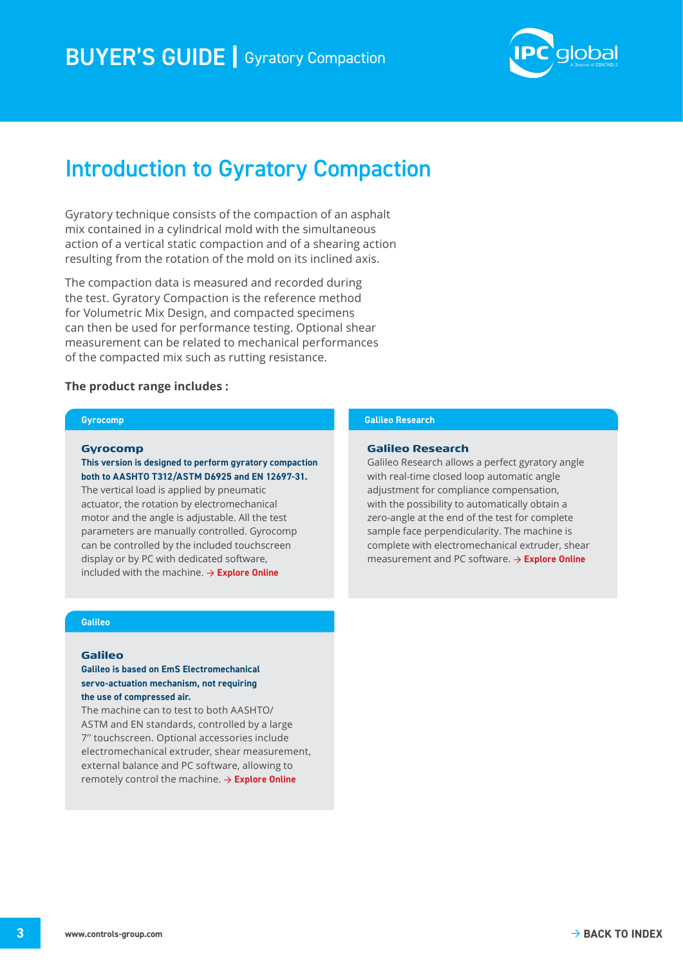

# <span id="page-2-0"></span>Introduction to Gyratory Compaction

Gyratory technique consists of the compaction of an asphalt mix contained in a cylindrical mold with the simultaneous action of a vertical static compaction and of a shearing action resulting from the rotation of the mold on its inclined axis.

The compaction data is measured and recorded during the test. Gyratory Compaction is the reference method for Volumetric Mix Design, and compacted specimens can then be used for performance testing. Optional shear measurement can be related to mechanical performances of the compacted mix such as rutting resistance.

#### **The product range includes :**

#### **Gyrocomp**

#### **Gyrocomp**

#### **This version is designed to perform gyratory compaction both to AASHTO T312/ASTM D6925 and EN 12697-31.**

The vertical load is applied by pneumatic actuator, the rotation by electromechanical motor and the angle is adjustable. All the test parameters are manually controlled. Gyrocomp can be controlled by the included touchscreen display or by PC with dedicated software, included with the machine. → **[Explore Online](https://www.controls-group.com/eng/gyratory-compactors/gyratory-compactor-gyrocomp.php)**

#### **Galileo Research**

#### **Galileo Research**

Galileo Research allows a perfect gyratory angle with real-time closed loop automatic angle adjustment for compliance compensation, with the possibility to automatically obtain a zero-angle at the end of the test for complete sample face perpendicularity. The machine is complete with electromechanical extruder, shear measurement and PC software. → **[Explore Online](https://www.controls-group.com/eng/gyratory-compactors/fully-electro-mechanical-gyratory-compactor-galileo-research.php)**

#### **Galileo**

#### **Galileo**

#### **Galileo is based on EmS Electromechanical servo-actuation mechanism, not requiring the use of compressed air.**

The machine can to test to both AASHTO/ ASTM and EN standards, controlled by a large 7'' touchscreen. Optional accessories include electromechanical extruder, shear measurement, external balance and PC software, allowing to remotely control the machine. → **[Explore Online](https://www.controls-group.com/eng/gyratory-compactors/fully-electro-mechanical-gyratory-compactor-galileo.php)**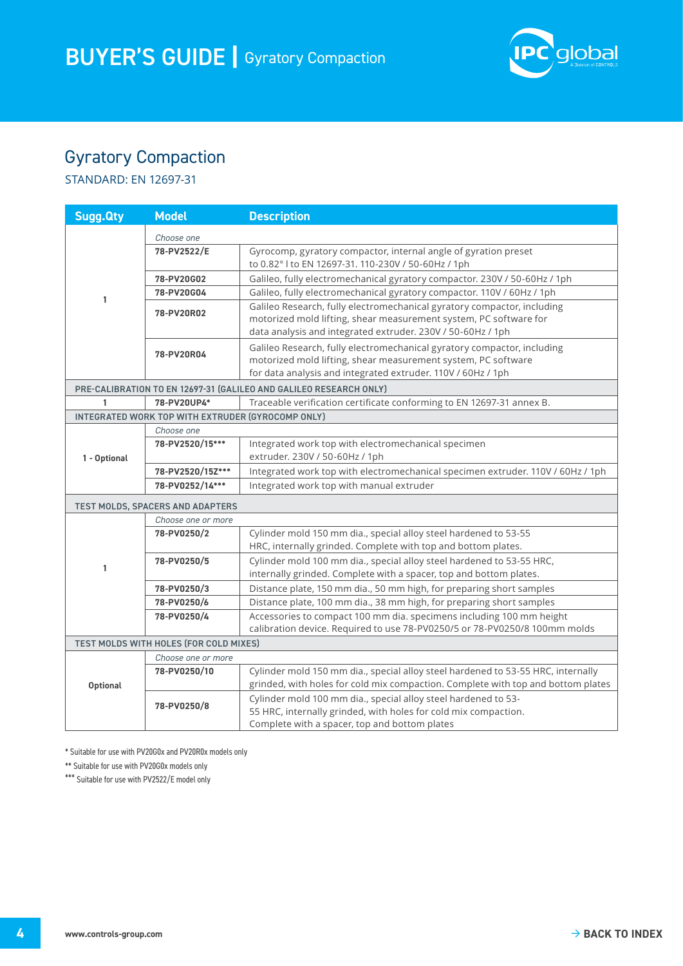

## <span id="page-3-0"></span>Gyratory Compaction

STANDARD: EN 12697-31

| <b>Sugg.Qty</b> | <b>Model</b>                                      | <b>Description</b>                                                                                                                                                                                          |
|-----------------|---------------------------------------------------|-------------------------------------------------------------------------------------------------------------------------------------------------------------------------------------------------------------|
| 1               | Choose one                                        |                                                                                                                                                                                                             |
|                 | 78-PV2522/E                                       | Gyrocomp, gyratory compactor, internal angle of gyration preset<br>to 0.82° I to EN 12697-31. 110-230V / 50-60Hz / 1ph                                                                                      |
|                 | 78-PV20G02                                        | Galileo, fully electromechanical gyratory compactor. 230V / 50-60Hz / 1ph                                                                                                                                   |
|                 | 78-PV20G04                                        | Galileo, fully electromechanical gyratory compactor. 110V / 60Hz / 1ph                                                                                                                                      |
|                 | 78-PV20R02                                        | Galileo Research, fully electromechanical gyratory compactor, including<br>motorized mold lifting, shear measurement system, PC software for<br>data analysis and integrated extruder. 230V / 50-60Hz / 1ph |
|                 | 78-PV20R04                                        | Galileo Research, fully electromechanical gyratory compactor, including<br>motorized mold lifting, shear measurement system, PC software<br>for data analysis and integrated extruder. 110V / 60Hz / 1ph    |
|                 |                                                   | PRE-CALIBRATION TO EN 12697-31 (GALILEO AND GALILEO RESEARCH ONLY)                                                                                                                                          |
| 1               | 78-PV20UP4*                                       | Traceable verification certificate conforming to EN 12697-31 annex B.                                                                                                                                       |
|                 | INTEGRATED WORK TOP WITH EXTRUDER (GYROCOMP ONLY) |                                                                                                                                                                                                             |
|                 | Choose one                                        |                                                                                                                                                                                                             |
|                 | 78-PV2520/15***                                   | Integrated work top with electromechanical specimen                                                                                                                                                         |
| 1 - Optional    |                                                   | extruder. 230V / 50-60Hz / 1ph                                                                                                                                                                              |
|                 | 78-PV2520/15Z***                                  | Integrated work top with electromechanical specimen extruder. 110V / 60Hz / 1ph                                                                                                                             |
|                 | 78-PV0252/14***                                   | Integrated work top with manual extruder                                                                                                                                                                    |
|                 | TEST MOLDS, SPACERS AND ADAPTERS                  |                                                                                                                                                                                                             |
|                 | Choose one or more                                |                                                                                                                                                                                                             |
|                 | 78-PV0250/2                                       | Cylinder mold 150 mm dia., special alloy steel hardened to 53-55<br>HRC, internally grinded. Complete with top and bottom plates.                                                                           |
| 1               | 78-PV0250/5                                       | Cylinder mold 100 mm dia., special alloy steel hardened to 53-55 HRC,<br>internally grinded. Complete with a spacer, top and bottom plates.                                                                 |
|                 | 78-PV0250/3                                       | Distance plate, 150 mm dia., 50 mm high, for preparing short samples                                                                                                                                        |
|                 | 78-PV0250/6                                       | Distance plate, 100 mm dia., 38 mm high, for preparing short samples                                                                                                                                        |
|                 | 78-PV0250/4                                       | Accessories to compact 100 mm dia. specimens including 100 mm height<br>calibration device. Required to use 78-PV0250/5 or 78-PV0250/8 100mm molds                                                          |
|                 | TEST MOLDS WITH HOLES (FOR COLD MIXES)            |                                                                                                                                                                                                             |
|                 | Choose one or more                                |                                                                                                                                                                                                             |
| <b>Optional</b> | 78-PV0250/10                                      | Cylinder mold 150 mm dia., special alloy steel hardened to 53-55 HRC, internally<br>grinded, with holes for cold mix compaction. Complete with top and bottom plates                                        |
|                 | 78-PV0250/8                                       | Cylinder mold 100 mm dia., special alloy steel hardened to 53-<br>55 HRC, internally grinded, with holes for cold mix compaction.<br>Complete with a spacer, top and bottom plates                          |

\* Suitable for use with PV20G0x and PV20R0x models only

\*\* Suitable for use with PV20G0x models only

\*\*\* Suitable for use with PV2522/E model only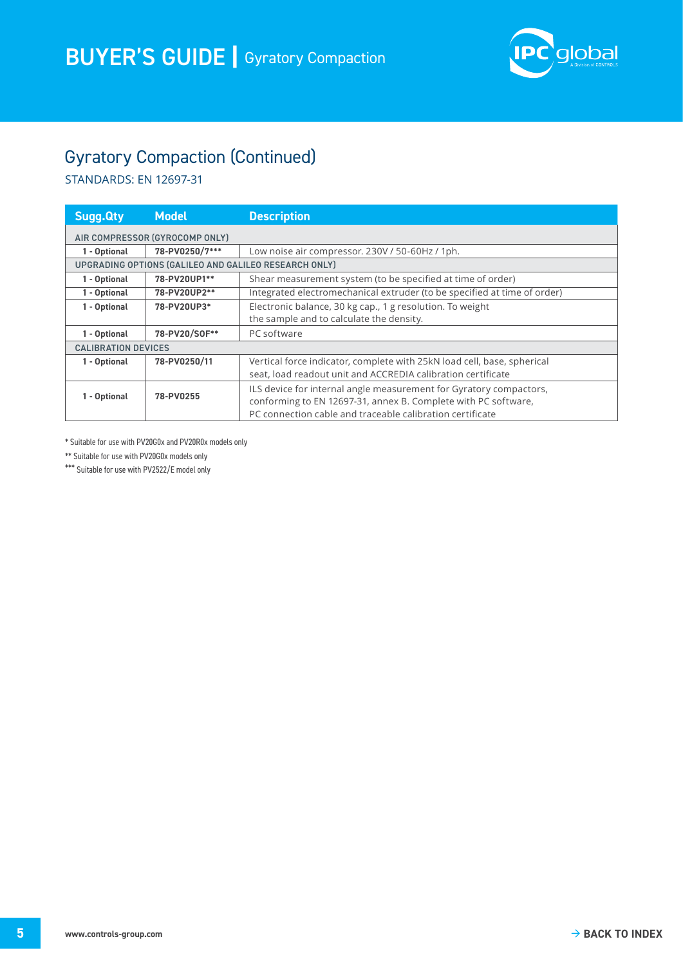

## Gyratory Compaction (Continued)

STANDARDS: EN 12697-31

| <b>Sugg.Qty</b>                                       | <b>Model</b>   | <b>Description</b>                                                       |  |  |
|-------------------------------------------------------|----------------|--------------------------------------------------------------------------|--|--|
| AIR COMPRESSOR (GYROCOMP ONLY)                        |                |                                                                          |  |  |
| 1 - Optional                                          | 78-PV0250/7*** | Low noise air compressor. 230V / 50-60Hz / 1ph.                          |  |  |
| UPGRADING OPTIONS (GALILEO AND GALILEO RESEARCH ONLY) |                |                                                                          |  |  |
| 1 - Optional                                          | 78-PV20UP1**   | Shear measurement system (to be specified at time of order)              |  |  |
| 1 - Optional                                          | 78-PV20UP2**   | Integrated electromechanical extruder (to be specified at time of order) |  |  |
| 1 - Optional                                          | 78-PV20UP3*    | Electronic balance, 30 kg cap., 1 g resolution. To weight                |  |  |
|                                                       |                | the sample and to calculate the density.                                 |  |  |
| 1 - Optional                                          | 78-PV20/SOF**  | PC software                                                              |  |  |
| <b>CALIBRATION DEVICES</b>                            |                |                                                                          |  |  |
| 1 - Optional                                          | 78-PV0250/11   | Vertical force indicator, complete with 25kN load cell, base, spherical  |  |  |
|                                                       |                | seat, load readout unit and ACCREDIA calibration certificate             |  |  |
| 1 - Optional                                          |                | ILS device for internal angle measurement for Gyratory compactors,       |  |  |
|                                                       | 78-PV0255      | conforming to EN 12697-31, annex B. Complete with PC software,           |  |  |
|                                                       |                | PC connection cable and traceable calibration certificate                |  |  |

\* Suitable for use with PV20G0x and PV20R0x models only

\*\* Suitable for use with PV20G0x models only

\*\*\* Suitable for use with PV2522/E model only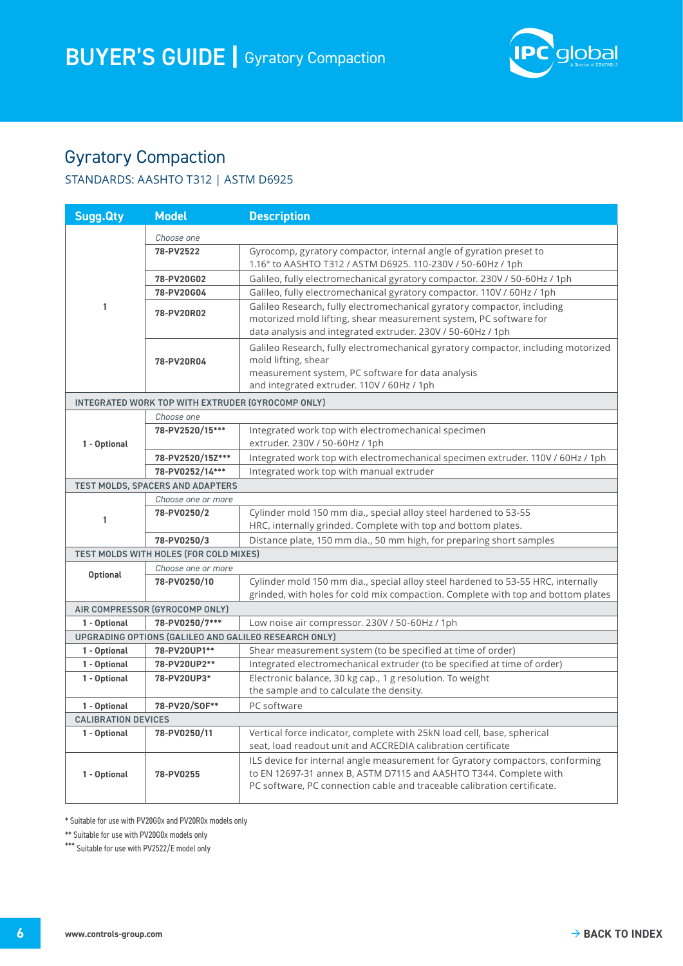

### <span id="page-5-0"></span>Gyratory Compaction

### STANDARDS: AASHTO T312 | ASTM D6925

| <b>Sugg.Qty</b>                                   | <b>Model</b>                           | <b>Description</b>                                                                                                                                                                                                            |  |  |
|---------------------------------------------------|----------------------------------------|-------------------------------------------------------------------------------------------------------------------------------------------------------------------------------------------------------------------------------|--|--|
|                                                   | Choose one                             |                                                                                                                                                                                                                               |  |  |
| 1                                                 | 78-PV2522                              | Gyrocomp, gyratory compactor, internal angle of gyration preset to<br>1.16° to AASHTO T312 / ASTM D6925, 110-230V / 50-60Hz / 1ph                                                                                             |  |  |
|                                                   | 78-PV20G02                             | Galileo, fully electromechanical gyratory compactor. 230V / 50-60Hz / 1ph                                                                                                                                                     |  |  |
|                                                   | 78-PV20G04                             | Galileo, fully electromechanical gyratory compactor. 110V / 60Hz / 1ph                                                                                                                                                        |  |  |
|                                                   | 78-PV20R02                             | Galileo Research, fully electromechanical gyratory compactor, including<br>motorized mold lifting, shear measurement system, PC software for<br>data analysis and integrated extruder. 230V / 50-60Hz / 1ph                   |  |  |
|                                                   | 78-PV20R04                             | Galileo Research, fully electromechanical gyratory compactor, including motorized<br>mold lifting, shear<br>measurement system, PC software for data analysis<br>and integrated extruder. 110V / 60Hz / 1ph                   |  |  |
| INTEGRATED WORK TOP WITH EXTRUDER (GYROCOMP ONLY) |                                        |                                                                                                                                                                                                                               |  |  |
|                                                   | Choose one                             |                                                                                                                                                                                                                               |  |  |
| 1 - Optional                                      | 78-PV2520/15***                        | Integrated work top with electromechanical specimen<br>extruder. 230V / 50-60Hz / 1ph                                                                                                                                         |  |  |
|                                                   | 78-PV2520/15Z***                       | Integrated work top with electromechanical specimen extruder. 110V / 60Hz / 1ph                                                                                                                                               |  |  |
|                                                   | 78-PV0252/14***                        | Integrated work top with manual extruder                                                                                                                                                                                      |  |  |
|                                                   | TEST MOLDS, SPACERS AND ADAPTERS       |                                                                                                                                                                                                                               |  |  |
|                                                   | Choose one or more                     |                                                                                                                                                                                                                               |  |  |
| 1                                                 | 78-PV0250/2                            | Cylinder mold 150 mm dia., special alloy steel hardened to 53-55<br>HRC, internally grinded. Complete with top and bottom plates.                                                                                             |  |  |
|                                                   | 78-PV0250/3                            | Distance plate, 150 mm dia., 50 mm high, for preparing short samples                                                                                                                                                          |  |  |
|                                                   | TEST MOLDS WITH HOLES (FOR COLD MIXES) |                                                                                                                                                                                                                               |  |  |
| <b>Optional</b>                                   | Choose one or more                     |                                                                                                                                                                                                                               |  |  |
|                                                   | 78-PV0250/10                           | Cylinder mold 150 mm dia., special alloy steel hardened to 53-55 HRC, internally<br>grinded, with holes for cold mix compaction. Complete with top and bottom plates                                                          |  |  |
|                                                   | AIR COMPRESSOR (GYROCOMP ONLY)         |                                                                                                                                                                                                                               |  |  |
| 1 - Optional                                      | 78-PV0250/7***                         | Low noise air compressor. 230V / 50-60Hz / 1ph                                                                                                                                                                                |  |  |
|                                                   |                                        | UPGRADING OPTIONS (GALILEO AND GALILEO RESEARCH ONLY)                                                                                                                                                                         |  |  |
| 1 - Optional                                      | 78-PV20UP1**                           | Shear measurement system (to be specified at time of order)                                                                                                                                                                   |  |  |
| 1 - Optional                                      | 78-PV20UP2**                           | Integrated electromechanical extruder (to be specified at time of order)                                                                                                                                                      |  |  |
| 1 - Optional                                      | 78-PV20UP3*                            | Electronic balance, 30 kg cap., 1 g resolution. To weight<br>the sample and to calculate the density.                                                                                                                         |  |  |
| 1 - Optional                                      | 78-PV20/SOF**                          | PC software                                                                                                                                                                                                                   |  |  |
| <b>CALIBRATION DEVICES</b>                        |                                        |                                                                                                                                                                                                                               |  |  |
| 1 - Optional                                      | 78-PV0250/11                           | Vertical force indicator, complete with 25kN load cell, base, spherical<br>seat, load readout unit and ACCREDIA calibration certificate                                                                                       |  |  |
| 1 - Optional                                      | 78-PV0255                              | ILS device for internal angle measurement for Gyratory compactors, conforming<br>to EN 12697-31 annex B, ASTM D7115 and AASHTO T344. Complete with<br>PC software, PC connection cable and traceable calibration certificate. |  |  |

\* Suitable for use with PV20G0x and PV20R0x models only

\*\* Suitable for use with PV20G0x models only

\*\*\* Suitable for use with PV2522/E model only